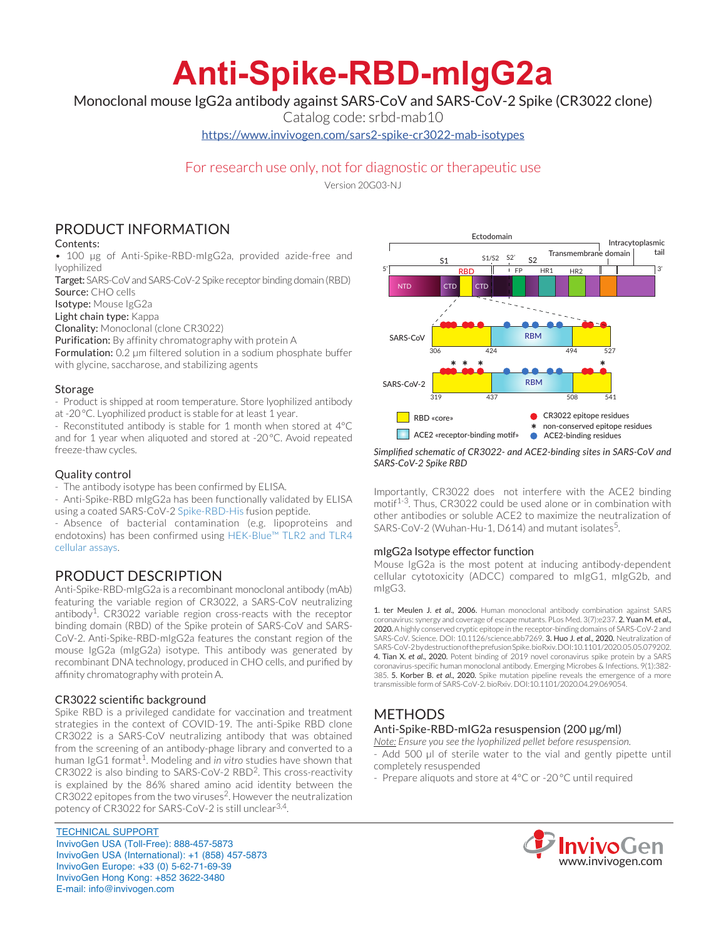# **Anti-Spike-RBD-mIgG2a**

Monoclonal mouse IgG2a antibody against SARS-CoV and SARS-CoV-2 Spike (CR3022 clone)

Catalog code: srbd-mab10

https://www.invivogen.com/sars2-spike-cr3022-mab-isotypes

# For research use only, not for diagnostic or therapeutic use

Version 20G03-NJ

# PRODUCT INFORMATION

## Contents:

• 100 µg of Anti-Spike-RBD-mIgG2a, provided azide-free and lyophilized

Target: SARS-CoV and SARS-CoV-2 Spike receptor binding domain (RBD) Source: CHO cells

Isotype: Mouse IgG2a

Light chain type: Kappa

Clonality: Monoclonal (clone CR3022)

Purification: By affinity chromatography with protein A

Formulation: 0.2 µm filtered solution in a sodium phosphate buffer with glycine, saccharose, and stabilizing agents

### Storage

- Product is shipped at room temperature. Store lyophilized antibody at -20°C. Lyophilized product is stable for at least 1 year.

- Reconstituted antibody is stable for 1 month when stored at 4°C and for 1 year when aliquoted and stored at -20°C. Avoid repeated freeze-thaw cycles.

## Quality control

- The antibody isotype has been confirmed by ELISA.

- Anti-Spike-RBD mIgG2a has been functionally validated by ELISA using a coated SARS-CoV-2 Spike-RBD-His fusion peptide.

- Absence of bacterial contamination (e.g. lipoproteins and endotoxins) has been confirmed using HEK-Blue™ TLR2 and TLR4 cellular assays.

# PRODUCT DESCRIPTION

Anti-Spike-RBD-mIgG2a is a recombinant monoclonal antibody (mAb) featuring the variable region of CR3022, a SARS-CoV neutralizing antibody<sup>1</sup>. CR3022 variable region cross-reacts with the receptor binding domain (RBD) of the Spike protein of SARS-CoV and SARS-CoV-2. Anti-Spike-RBD-mIgG2a features the constant region of the mouse IgG2a (mIgG2a) isotype. This antibody was generated by recombinant DNA technology, produced in CHO cells, and purified by affinity chromatography with protein A.

## CR3022 scientific background

Spike RBD is a privileged candidate for vaccination and treatment strategies in the context of COVID-19. The anti-Spike RBD clone CR3022 is a SARS-CoV neutralizing antibody that was obtained from the screening of an antibody-phage library and converted to a human IgG1 format<sup>1</sup>. Modeling and *in vitro* studies have shown that CR3022 is also binding to SARS-CoV-2 RBD2. This cross-reactivity is explained by the 86% shared amino acid identity between the CR3022 epitopes from the two viruses<sup>2</sup>. However the neutralization potency of CR3022 for SARS-CoV-2 is still unclear<sup>3,4</sup>.

TECHNICAL SUPPORT InvivoGen USA (Toll‑Free): 888-457-5873 InvivoGen USA (International): +1 (858) 457-5873 InvivoGen Europe: +33 (0) 5-62-71-69-39 InvivoGen Hong Kong: +852 3622-3480 E-mail: info@invivogen.com



#### *Simplified schematic of CR3022- and ACE2-binding sites in SARS-CoV and SARS-CoV-2 Spike RBD*

Importantly, CR3022 does not interfere with the ACE2 binding motif<sup>1-3</sup>. Thus, CR3022 could be used alone or in combination with other antibodies or soluble ACE2 to maximize the neutralization of SARS-CoV-2 (Wuhan-Hu-1, D614) and mutant isolates<sup>5</sup>.

## mIgG2a Isotype effector function

Mouse IgG2a is the most potent at inducing antibody-dependent cellular cytotoxicity (ADCC) compared to mIgG1, mIgG2b, and mIgG3.

1. ter Meulen J. *et al*., 2006. Human monoclonal antibody combination against SARS coronavirus: synergy and coverage of escape mutants. PLos Med. 3(7):e237. 2. Yuan M. *et al*., 2020. A highly conserved cryptic epitope in the receptor-binding domains of SARS-CoV-2 and SARS-CoV. Science. DOI: 10.1126/science.abb7269. 3. Huo J. *et al*., 2020. Neutralization of SARS-CoV-2 by destruction of the prefusion Spike. bioRxiv. DOI:10.1101/2020.05.05.079202. 4. Tian X. *et al*., 2020. Potent binding of 2019 novel coronavirus spike protein by a SARS coronavirus-specific human monoclonal antibody. Emerging Microbes & Infections. 9(1):382- 385. 5. Korber B. *et al*., 2020. Spike mutation pipeline reveals the emergence of a more transmissible form of SARS-CoV-2. bioRxiv. DOI:10.1101/2020.04.29.069054.

# **METHODS**

# Anti-Spike-RBD-mIG2a resuspension (200 µg/ml)

*Note: Ensure you see the lyophilized pellet before resuspension.*

- Add 500 µl of sterile water to the vial and gently pipette until completely resuspended

- Prepare aliquots and store at 4°C or -20 °C until required